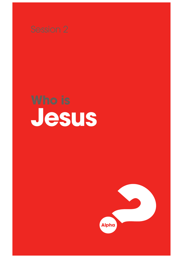

**Jesus**

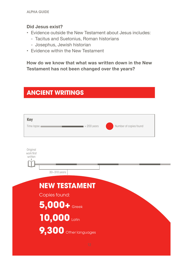### **Did Jesus exist?**

- Evidence outside the New Testament about Jesus includes:
	- Tacitus and Suetonius, Roman historians
	- Josephus, Jewish historian
- Evidence within the New Testament

**How do we know that what was written down in the New Testament has not been changed over the years?**

## **ANCIENT WRITINGS**

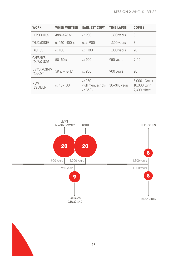| <b>WORK</b>                           | <b>WHEN WRITTEN</b> | <b>EARLIEST COPY</b>                   | <b>TIME LAPSE</b> | <b>COPIES</b>                                |
|---------------------------------------|---------------------|----------------------------------------|-------------------|----------------------------------------------|
| <b>HERODOTUS</b>                      | 488-428 вс          | AD 900                                 | $1,300$ years     | 8                                            |
| <b>THUCYDIDES</b>                     | с. 460-400 вс       | C. AD 900                              | $1,300$ years     | 8                                            |
| <b>TACITUS</b>                        | AD 100              | AD 1100                                | $1,000$ years     | 20                                           |
| CAESAR'S<br><b>GALLIC WAR</b>         | 58-50 BC            | AD 900                                 | 950 years         | $9 - 10$                                     |
| <b>LIVY'S ROMAN</b><br><b>HISTORY</b> | $59 BC - AD$ 17     | AD 900                                 | 900 years         | 20                                           |
| <b>NEW</b><br><b>TESTAMENT</b>        | AD 40-100           | AD 130<br>(full manuscripts<br>AD 350) | 30-310 years      | 5,000+ Greek<br>10,000 Latin<br>9,300 others |



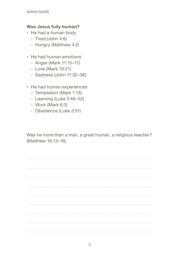### **Was Jesus fully human?**

- He had a human body
	- Tired (John 4:6)
	- Hungry (Matthew 4:2)
- He had human emotions
	- Anger (Mark 11:15–17)
	- Love (Mark 10:21)
	- Sadness (John 11:32–36)
- He had human experiences
	- Temptation (Mark 1:13)
	- Learning (Luke 2:46–52)
	- Work (Mark 6:3)
	- Obedience (Luke 2:51)

Was he more than a man, a great human, a religious teacher? (Matthew 16:13–16)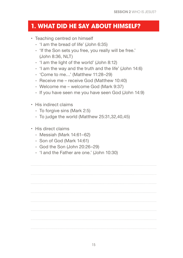### **1. WHAT DID HE SAY ABOUT HIMSELF?**

- Teaching centred on himself
	- 'I am the bread of life' (John 6:35)
	- 'If the Son sets you free, you really will be free.' (John 8:36, NLT)
	- 'I am the light of the world' (John 8:12)
	- 'I am the way and the truth and the life' (John 14:6)
	- 'Come to me…' (Matthew 11:28–29)
	- Receive me receive God (Matthew 10:40)
	- Welcome me welcome God (Mark 9:37)
	- If you have seen me you have seen God (John 14:9)
- His indirect claims
	- To forgive sins (Mark 2:5)
	- To judge the world (Matthew 25:31,32,40,45)
- His direct claims
	- Messiah (Mark 14:61–62)
	- Son of God (Mark 14:61)
	- God the Son (John 20:26–29)
	- 'I and the Father are one.' (John 10:30)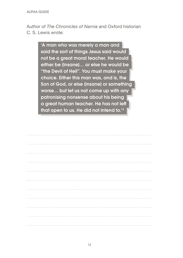Author of *The Chronicles of Narnia* and Oxford historian C. S. Lewis wrote:

> 'A man who was merely a man and said the sort of things Jesus said would not be a great moral teacher. He would either be (insane)... or else he would be "the Devil of Hell". You must make your choice. Either this man was, and is, the Son of God, or else [insane] or something worse… but let us not come up with any patronising nonsense about his being a great human teacher. He has not lef that open to us. He did not intend to.'3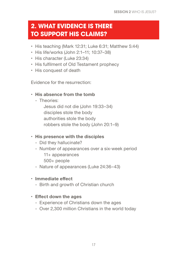## **2. WHAT EVIDENCE IS THERE TO SUPPORT HIS CLAIMS?**

- His teaching (Mark 12:31; Luke 6:31; Matthew 5:44)
- His life/works (John 2:1–11; 10:37–38)
- His character (Luke 23:34)
- His fulflment of Old Testament prophecy
- His conquest of death

Evidence for the resurrection:

### **• His absence from the tomb**

- Theories:

Jesus did not die (John 19:33–34) disciples stole the body authorities stole the body robbers stole the body (John 20:1–9)

### **• His presence with the disciples**

- Did they hallucinate?
- Number of appearances over a six-week period 11+ appearances
	- 500+ people
- Nature of appearances (Luke 24:36–43)
- **• Immediate efect**
	- Birth and growth of Christian church

### **• Efect down the ages**

- Experience of Christians down the ages
- Over 2,300 million Christians in the world today